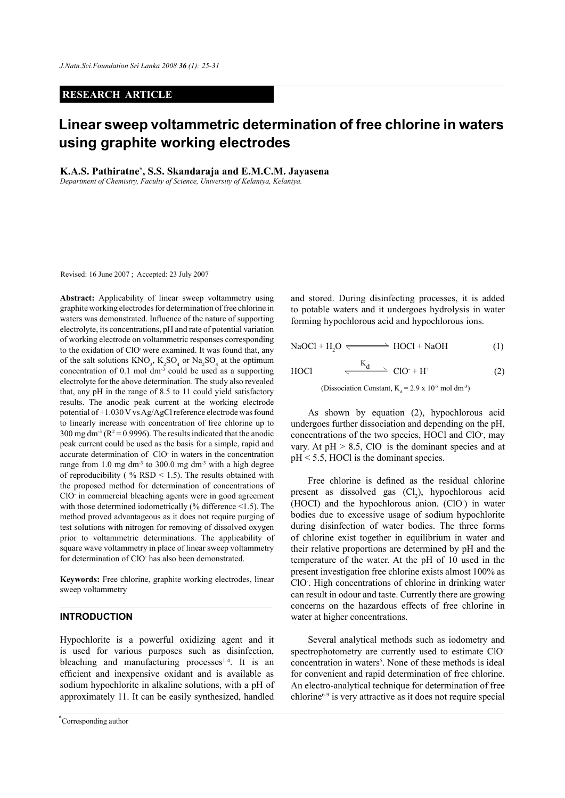### **RESEARCH ARTICLE**

# **Linear sweep voltammetric determination of free chlorine in waters using graphite working electrodes**

**K.A.S. Pathiratne\* , S.S. Skandaraja and E.M.C.M. Jayasena**

*Department of Chemistry, Faculty of Science, University of Kelaniya, Kelaniya.*

Revised: 16 June 2007 ; Accepted: 23 July 2007

**Abstract:** Applicability of linear sweep voltammetry using graphite working electrodes for determination of free chlorine in waters was demonstrated. Influence of the nature of supporting electrolyte, its concentrations, pH and rate of potential variation of working electrode on voltammetric responses corresponding to the oxidation of ClO- were examined. It was found that, any of the salt solutions  $KNO_3$ ,  $K_2SO_4$  or  $Na_2SO_4$  at the optimum concentration of 0.1 mol  $\text{dm}^3$  could be used as a supporting electrolyte for the above determination. The study also revealed that, any pH in the range of 8.5 to 11 could yield satisfactory results. The anodic peak current at the working electrode potential of +1.030 V vs Ag/AgCl reference electrode was found to linearly increase with concentration of free chlorine up to  $300 \text{ mg dm}^3$  (R<sup>2</sup> = 0.9996). The results indicated that the anodic peak current could be used as the basis for a simple, rapid and accurate determination of ClO- in waters in the concentration range from 1.0 mg dm<sup>-3</sup> to 300.0 mg dm<sup>-3</sup> with a high degree of reproducibility ( $\%$  RSD < 1.5). The results obtained with the proposed method for determination of concentrations of ClO- in commercial bleaching agents were in good agreement with those determined iodometrically (% difference <1.5). The method proved advantageous as it does not require purging of test solutions with nitrogen for removing of dissolved oxygen prior to voltammetric determinations. The applicability of square wave voltammetry in place of linear sweep voltammetry for determination of ClO- has also been demonstrated.

**Keywords:** Free chlorine, graphite working electrodes, linear sweep voltammetry

#### **INTRODUCTION**

Hypochlorite is a powerful oxidizing agent and it is used for various purposes such as disinfection, bleaching and manufacturing processes $1-4$ . It is an efficient and inexpensive oxidant and is available as sodium hypochlorite in alkaline solutions, with a pH of approximately 11. It can be easily synthesized, handled

and stored. During disinfecting processes, it is added to potable waters and it undergoes hydrolysis in water forming hypochlorous acid and hypochlorous ions.

$$
NaOCl + H_2O \xrightarrow{\text{HOCl + NaOH}} \tag{1}
$$

$$
HOCI \qquad \xrightarrow{\qquad K_d} \qquad \qquad CD \cdot + H^* \tag{2}
$$

(Dissociation Constant,  $K_d = 2.9 \times 10^{-8}$  mol dm<sup>-3</sup>)

As shown by equation (2), hypochlorous acid undergoes further dissociation and depending on the pH, concentrations of the two species, HOCl and ClO- , may vary. At  $pH > 8.5$ , ClO is the dominant species and at pH < 5.5, HOCl is the dominant species.

Free chlorine is defined as the residual chlorine present as dissolved gas  $(Cl<sub>2</sub>)$ , hypochlorous acid (HOCI) and the hypochlorous anion. (ClO- ) in water bodies due to excessive usage of sodium hypochlorite during disinfection of water bodies. The three forms of chlorine exist together in equilibrium in water and their relative proportions are determined by pH and the temperature of the water. At the pH of 10 used in the present investigation free chlorine exists almost 100% as ClO- . High concentrations of chlorine in drinking water can result in odour and taste. Currently there are growing concerns on the hazardous effects of free chlorine in water at higher concentrations.

Several analytical methods such as iodometry and spectrophotometry are currently used to estimate ClOconcentration in waters<sup>5</sup>. None of these methods is ideal for convenient and rapid determination of free chlorine. An electro-analytical technique for determination of free chlorine6-9 is very attractive as it does not require special

*Journal of the National Science Foundation of Sri Lanka 36 (1) March 2008* \* Corresponding author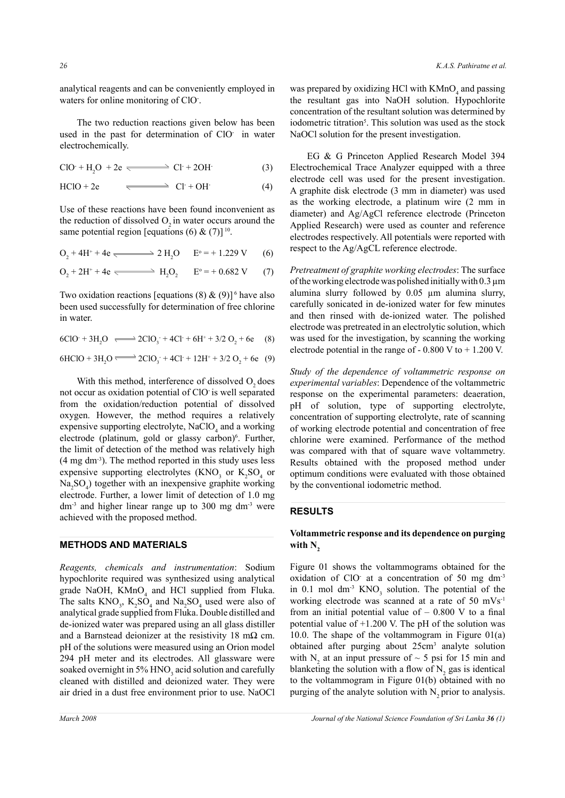analytical reagents and can be conveniently employed in waters for online monitoring of ClO.

The two reduction reactions given below has been used in the past for determination of ClO- in water electrochemically.

 $ClO + H<sub>2</sub>O + 2e \longleftarrow Cl + 2OH$ (3)

 $HClO + 2e$   $\qquad \qquad \longrightarrow \qquad Cl^+ + OH^-(4)$ 

Use of these reactions have been found inconvenient as the reduction of dissolved  $O<sub>2</sub>$  in water occurs around the same potential region [equations (6) &  $(7)$ ]<sup>10</sup>.

$$
O_2 + 4H^+ + 4e \xrightarrow{\text{max}} 2 H_2O \qquad E^{\circ} = +1.229 \text{ V} \tag{6}
$$

$$
O_2 + 2H^+ + 4e \xrightarrow{\longleftarrow} H_2O_2 \qquad E^{\circ} = +0.682 \text{ V} \tag{7}
$$

Two oxidation reactions [equations (8)  $\&$  (9)]<sup>6</sup> have also been used successfully for determination of free chlorine in water.

6ClO<sup>+</sup> + 3H<sub>2</sub>O  $\Longleftrightarrow$  2ClO<sub>3</sub><sup>+</sup> + 4Cl<sup>+</sup> + 6H<sup>+</sup> + 3/2 O<sub>2</sub> + 6e (8)

$$
6HClO + 3H_2O \xrightarrow{\text{GLO}_3} 2ClO_3^- + 4Cl^+ + 12H^+ + 3/2O_2 + 6e \quad (9)
$$

With this method, interference of dissolved  $O$ , does not occur as oxidation potential of ClO is well separated from the oxidation/reduction potential of dissolved oxygen. However, the method requires a relatively expensive supporting electrolyte,  $NaClO<sub>4</sub>$  and a working electrode (platinum, gold or glassy carbon)<sup>6</sup>. Further, the limit of detection of the method was relatively high (4 mg dm-3). The method reported in this study uses less expensive supporting electrolytes  $(KNO<sub>3</sub>$  or  $K<sub>2</sub>SO<sub>4</sub>$  or  $Na<sub>2</sub>SO<sub>4</sub>$ ) together with an inexpensive graphite working electrode. Further, a lower limit of detection of 1.0 mg  $dm<sup>3</sup>$  and higher linear range up to 300 mg  $dm<sup>3</sup>$  were achieved with the proposed method.

#### **METHODS AND MATERIALS**

*Reagents, chemicals and instrumentation*: Sodium hypochlorite required was synthesized using analytical grade NaOH,  $KMnO<sub>4</sub>$  and HCl supplied from Fluka. The salts  $KNO_3$ ,  $K_2SO_4$  and  $Na_2SO_4$  used were also of analytical grade supplied from Fluka. Double distilled and de-ionized water was prepared using an all glass distiller and a Barnstead deionizer at the resistivity 18 m $\Omega$  cm. pH of the solutions were measured using an Orion model 294 pH meter and its electrodes. All glassware were soaked overnight in  $5\%$  HNO<sub>3</sub> acid solution and carefully cleaned with distilled and deionized water. They were air dried in a dust free environment prior to use. NaOCl

was prepared by oxidizing HCl with  $KMnO<sub>4</sub>$  and passing the resultant gas into NaOH solution. Hypochlorite concentration of the resultant solution was determined by iodometric titration<sup>5</sup>. This solution was used as the stock NaOCl solution for the present investigation.

EG & G Princeton Applied Research Model 394 Electrochemical Trace Analyzer equipped with a three electrode cell was used for the present investigation. A graphite disk electrode (3 mm in diameter) was used as the working electrode, a platinum wire (2 mm in diameter) and Ag/AgCl reference electrode (Princeton Applied Research) were used as counter and reference electrodes respectively. All potentials were reported with respect to the Ag/AgCL reference electrode.

*Pretreatment of graphite working electrodes*: The surface of the working electrode was polished initially with  $0.3 \mu m$ alumina slurry followed by 0.05 µm alumina slurry, carefully sonicated in de-ionized water for few minutes and then rinsed with de-ionized water. The polished electrode was pretreated in an electrolytic solution, which was used for the investigation, by scanning the working electrode potential in the range of  $-0.800$  V to  $+1.200$  V.

*Study of the dependence of voltammetric response on experimental variables*: Dependence of the voltammetric response on the experimental parameters: deaeration, pH of solution, type of supporting electrolyte, concentration of supporting electrolyte, rate of scanning of working electrode potential and concentration of free chlorine were examined. Performance of the method was compared with that of square wave voltammetry. Results obtained with the proposed method under optimum conditions were evaluated with those obtained by the conventional iodometric method.

### **RESULTS**

# **Voltammetric response and its dependence on purging**  with N<sub>2</sub>

Figure 01 shows the voltammograms obtained for the oxidation of ClO at a concentration of 50 mg dm<sup>-3</sup> in 0.1 mol  $dm^{-3}$  KNO<sub>3</sub> solution. The potential of the working electrode was scanned at a rate of 50 mVs-1 from an initial potential value of  $-0.800$  V to a final potential value of +1.200 V. The pH of the solution was 10.0. The shape of the voltammogram in Figure  $01(a)$ obtained after purging about 25cm<sup>3</sup> analyte solution with  $N_2$  at an input pressure of  $\sim$  5 psi for 15 min and blanketing the solution with a flow of  $N_2$  gas is identical to the voltammogram in Figure 01(b) obtained with no purging of the analyte solution with  $N<sub>2</sub>$  prior to analysis.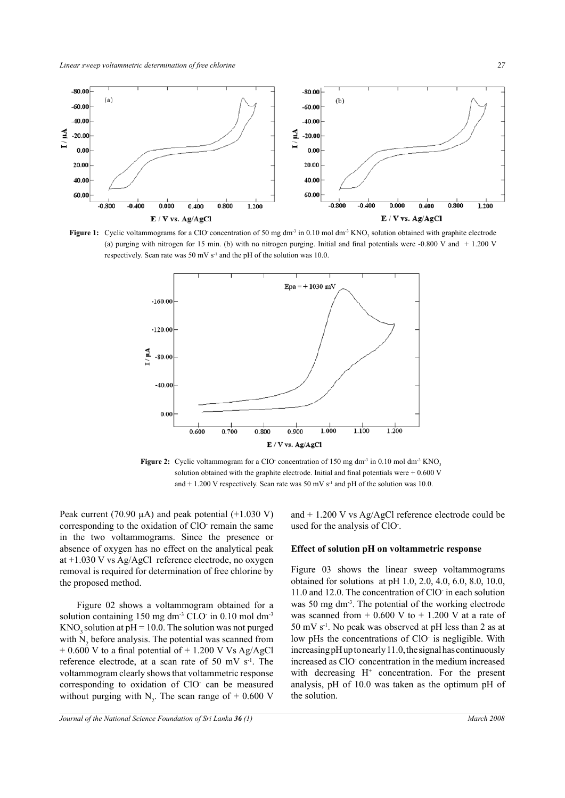

**Figure 1:** Cyclic voltammograms for a CIO concentration of 50 mg dm<sup>-3</sup> in 0.10 mol dm<sup>-3</sup> KNO<sub>3</sub> solution obtained with graphite electrode (a) purging with nitrogen for 15 min. (b) with no nitrogen purging. Initial and final potentials were -0.800 V and + 1.200 V respectively. Scan rate was 50 mV  $s^{-1}$  and the pH of the solution was 10.0.



**Figure 2:** Cyclic voltammogram for a CIO concentration of 150 mg dm<sup>-3</sup> in 0.10 mol dm<sup>-3</sup> KNO<sub>3</sub> solution obtained with the graphite electrode. Initial and final potentials were  $+0.600$  V and  $+ 1.200$  V respectively. Scan rate was 50 mV s<sup>-1</sup> and pH of the solution was 10.0.

Peak current (70.90  $\mu$ A) and peak potential (+1.030 V) corresponding to the oxidation of ClO<sup>-</sup> remain the same in the two voltammograms. Since the presence or absence of oxygen has no effect on the analytical peak at +1.030 V vs Ag/AgCl reference electrode, no oxygen removal is required for determination of free chlorine by the proposed method.

Figure 02 shows a voltammogram obtained for a solution containing  $150 \text{ mg dm}^3$  CLO $\cdot$  in 0.10 mol dm<sup>-3</sup>  $KNO<sub>3</sub>$  solution at pH = 10.0. The solution was not purged with  $N_2$  before analysis. The potential was scanned from  $+ 0.600$  V to a final potential of  $+ 1.200$  V Vs Ag/AgCl reference electrode, at a scan rate of 50 mV  $s^{-1}$ . The voltammogram clearly shows that voltammetric response corresponding to oxidation of ClO- can be measured without purging with  $N_2$ . The scan range of + 0.600 V and + 1.200 V vs Ag/AgCl reference electrode could be used for the analysis of ClO- .

#### **Effect of solution pH on voltammetric response**

Figure 03 shows the linear sweep voltammograms obtained for solutions at pH 1.0, 2.0, 4.0, 6.0, 8.0, 10.0, 11.0 and 12.0. The concentration of ClO- in each solution was 50 mg dm<sup>-3</sup>. The potential of the working electrode was scanned from  $+ 0.600$  V to  $+ 1.200$  V at a rate of  $50 \text{ mV s}^{-1}$ . No peak was observed at pH less than 2 as at low pHs the concentrations of ClO is negligible. With increasing pH up to nearly 11.0, the signal has continuously increased as ClO- concentration in the medium increased with decreasing H<sup>+</sup> concentration. For the present analysis, pH of 10.0 was taken as the optimum pH of the solution.

*Journal of the National Science Foundation of Sri Lanka* **36** (1) March 2008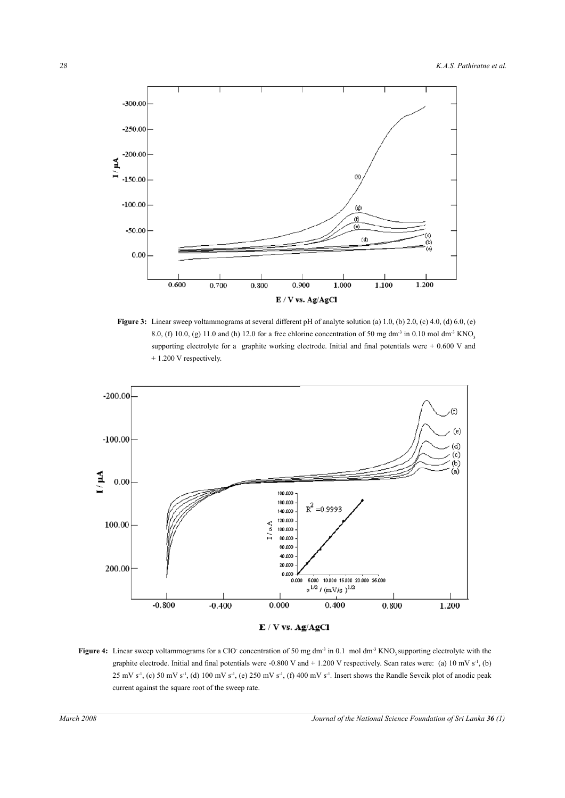

**Figure 3:** Linear sweep voltammograms at several different pH of analyte solution (a) 1.0, (b) 2.0, (c) 4.0, (d) 6.0, (e) 8.0, (f) 10.0, (g) 11.0 and (h) 12.0 for a free chlorine concentration of 50 mg dm<sup>-3</sup> in 0.10 mol dm<sup>-3</sup> KNO<sub>3</sub> supporting electrolyte for a graphite working electrode. Initial and final potentials were + 0.600 V and + 1.200 V respectively.



**Figure 4:** Linear sweep voltammograms for a CIO concentration of 50 mg dm<sup>-3</sup> in 0.1 mol dm<sup>-3</sup> KNO<sub>3</sub> supporting electrolyte with the graphite electrode. Initial and final potentials were -0.800 V and +1.200 V respectively. Scan rates were: (a)  $10 \text{ mV s}^{-1}$ , (b)  $25 \text{ mV s}^{-1}$ , (c)  $50 \text{ mV s}^{-1}$ , (d)  $100 \text{ mV s}^{-1}$ , (e)  $250 \text{ mV s}^{-1}$ , (f)  $400 \text{ mV s}^{-1}$ . Insert shows the Randle Sevcik plot of anodic peak current against the square root of the sweep rate.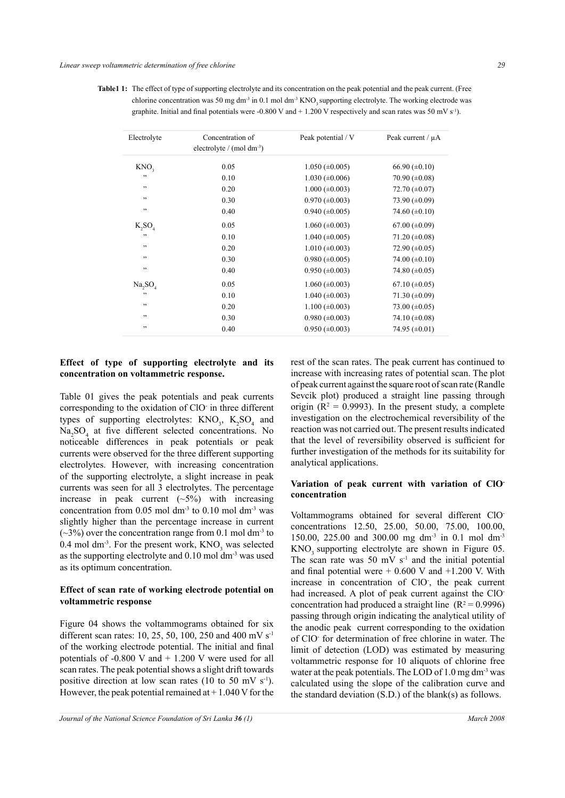**Table1 1:** The effect of type of supporting electrolyte and its concentration on the peak potential and the peak current. (Free chlorine concentration was 50 mg dm<sup>-3</sup> in 0.1 mol dm<sup>-3</sup> KNO<sub>3</sub> supporting electrolyte. The working electrode was graphite. Initial and final potentials were -0.800 V and + 1.200 V respectively and scan rates was 50 mV s<sup>-1</sup>).

| Electrolyte         | Concentration of<br>electrolyte / $(mod \, dm^{-3})$ | Peak potential / V    | Peak current / $\mu$ A |
|---------------------|------------------------------------------------------|-----------------------|------------------------|
| KNO <sub>2</sub>    | 0.05                                                 | $1.050 \ (\pm 0.005)$ | $66.90 \ (\pm 0.10)$   |
| , ,                 | 0.10                                                 | $1.030 \ (\pm 0.006)$ | 70.90 $(\pm 0.08)$     |
| , ,                 | 0.20                                                 | $1.000 \ (\pm 0.003)$ | 72.70 $(\pm 0.07)$     |
| , ,                 | 0.30                                                 | $0.970 \ (\pm 0.003)$ | 73.90 $(\pm 0.09)$     |
| , ,                 | 0.40                                                 | $0.940 \ (\pm 0.005)$ | 74.60 $(\pm 0.10)$     |
| K, SO               | 0.05                                                 | $1.060 \ (\pm 0.003)$ | $67.00 \ (\pm 0.09)$   |
| ,                   | 0.10                                                 | $1.040 \ (\pm 0.005)$ | 71.20 $(\pm 0.08)$     |
| , ,                 | 0.20                                                 | $1.010 \ (\pm 0.003)$ | 72.90 $(\pm 0.05)$     |
| ,                   | 0.30                                                 | $0.980 \ (\pm 0.005)$ | 74.00 $(\pm 0.10)$     |
| , ,                 | 0.40                                                 | $0.950 \ (\pm 0.003)$ | 74.80 $(\pm 0.05)$     |
| Na, SO <sub>A</sub> | 0.05                                                 | $1.060 \ (\pm 0.003)$ | $67.10 \ (\pm 0.05)$   |
| ,,                  | 0.10                                                 | $1.040 \ (\pm 0.003)$ | $71.30 (\pm 0.09)$     |
| ,                   | 0.20                                                 | $1.100 \ (\pm 0.003)$ | 73.00 $(\pm 0.05)$     |
| , ,                 | 0.30                                                 | $0.980 \ (\pm 0.003)$ | 74.10 $(\pm 0.08)$     |
| , ,                 | 0.40                                                 | $0.950 \ (\pm 0.003)$ | 74.95 $(\pm 0.01)$     |

# **Effect of type of supporting electrolyte and its concentration on voltammetric response.**

Table 01 gives the peak potentials and peak currents corresponding to the oxidation of ClO- in three different types of supporting electrolytes:  $\text{KNO}_3$ ,  $\text{K}_2\text{SO}_4$  and Na<sub>2</sub>SO<sub>4</sub> at five different selected concentrations. No noticeable differences in peak potentials or peak currents were observed for the three different supporting electrolytes. However, with increasing concentration of the supporting electrolyte, a slight increase in peak currents was seen for all 3 electrolytes. The percentage increase in peak current  $(\sim 5\%)$  with increasing concentration from  $0.05$  mol dm<sup>-3</sup> to  $0.10$  mol dm<sup>-3</sup> was slightly higher than the percentage increase in current  $(\sim 3\%)$  over the concentration range from 0.1 mol dm<sup>-3</sup> to 0.4 mol dm<sup>-3</sup>. For the present work,  $KNO_3$  was selected as the supporting electrolyte and  $0.10$  mol dm<sup>-3</sup> was used as its optimum concentration.

## **Effect of scan rate of working electrode potential on voltammetric response**

Figure 04 shows the voltammograms obtained for six different scan rates: 10, 25, 50, 100, 250 and 400 mV s<sup>-1</sup> of the working electrode potential. The initial and final potentials of -0.800 V and + 1.200 V were used for all scan rates. The peak potential shows a slight drift towards positive direction at low scan rates (10 to 50 mV  $s^{-1}$ ). However, the peak potential remained at  $+1.040$  V for the rest of the scan rates. The peak current has continued to increase with increasing rates of potential scan. The plot of peak current against the square root of scan rate (Randle Sevcik plot) produced a straight line passing through origin ( $R^2 = 0.9993$ ). In the present study, a complete investigation on the electrochemical reversibility of the reaction was not carried out. The present results indicated that the level of reversibility observed is sufficient for further investigation of the methods for its suitability for analytical applications.

## **Variation of peak current with variation of ClOconcentration**

Voltammograms obtained for several different ClOconcentrations 12.50, 25.00, 50.00, 75.00, 100.00, 150.00, 225.00 and 300.00 mg dm-3 in 0.1 mol dm-3 KNO<sub>3</sub> supporting electrolyte are shown in Figure 05. The scan rate was 50 mV  $s<sup>-1</sup>$  and the initial potential and final potential were  $+ 0.600$  V and  $+1.200$  V. With increase in concentration of ClO- , the peak current had increased. A plot of peak current against the ClOconcentration had produced a straight line  $(R^2 = 0.9996)$ passing through origin indicating the analytical utility of the anodic peak current corresponding to the oxidation of ClO- for determination of free chlorine in water. The limit of detection (LOD) was estimated by measuring voltammetric response for 10 aliquots of chlorine free water at the peak potentials. The LOD of  $1.0 \text{ mg dm}^3$  was calculated using the slope of the calibration curve and the standard deviation (S.D.) of the blank(s) as follows.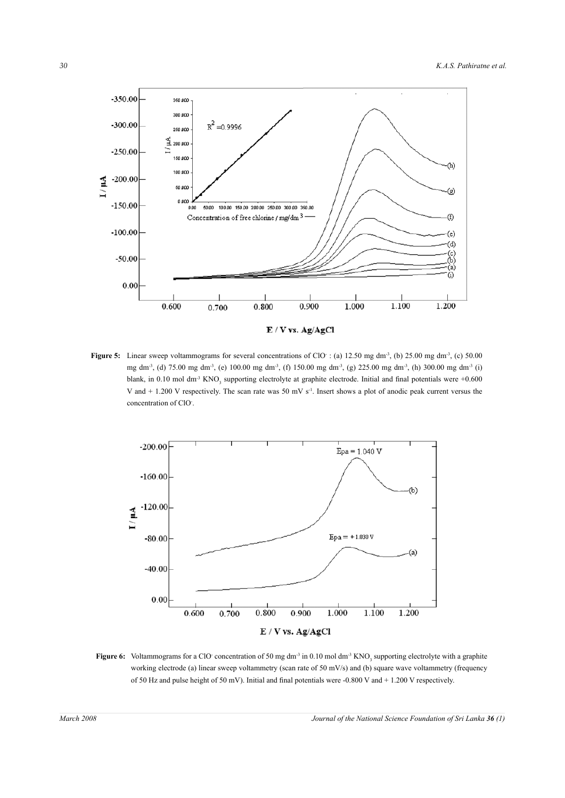

E / V vs. Ag/AgCl

**Figure 5:** Linear sweep voltammograms for several concentrations of ClO $\cdot$  : (a) 12.50 mg dm<sup>-3</sup>, (b) 25.00 mg dm<sup>-3</sup>, (c) 50.00 mg dm-3, (d) 75.00 mg dm-3, (e) 100.00 mg dm-3, (f) 150.00 mg dm-3, (g) 225.00 mg dm-3, (h) 300.00 mg dm-3 (i) blank, in 0.10 mol dm<sup>-3</sup> KNO<sub>3</sub> supporting electrolyte at graphite electrode. Initial and final potentials were  $+0.600$ V and  $+ 1.200$  V respectively. The scan rate was 50 mV s<sup>-1</sup>. Insert shows a plot of anodic peak current versus the concentration of ClO- .



**Figure 6:** Voltammograms for a ClO concentration of 50 mg dm<sup>-3</sup> in 0.10 mol dm<sup>-3</sup> KNO<sub>3</sub> supporting electrolyte with a graphite working electrode (a) linear sweep voltammetry (scan rate of 50 mV/s) and (b) square wave voltammetry (frequency of 50 Hz and pulse height of 50 mV). Initial and final potentials were -0.800 V and + 1.200 V respectively.